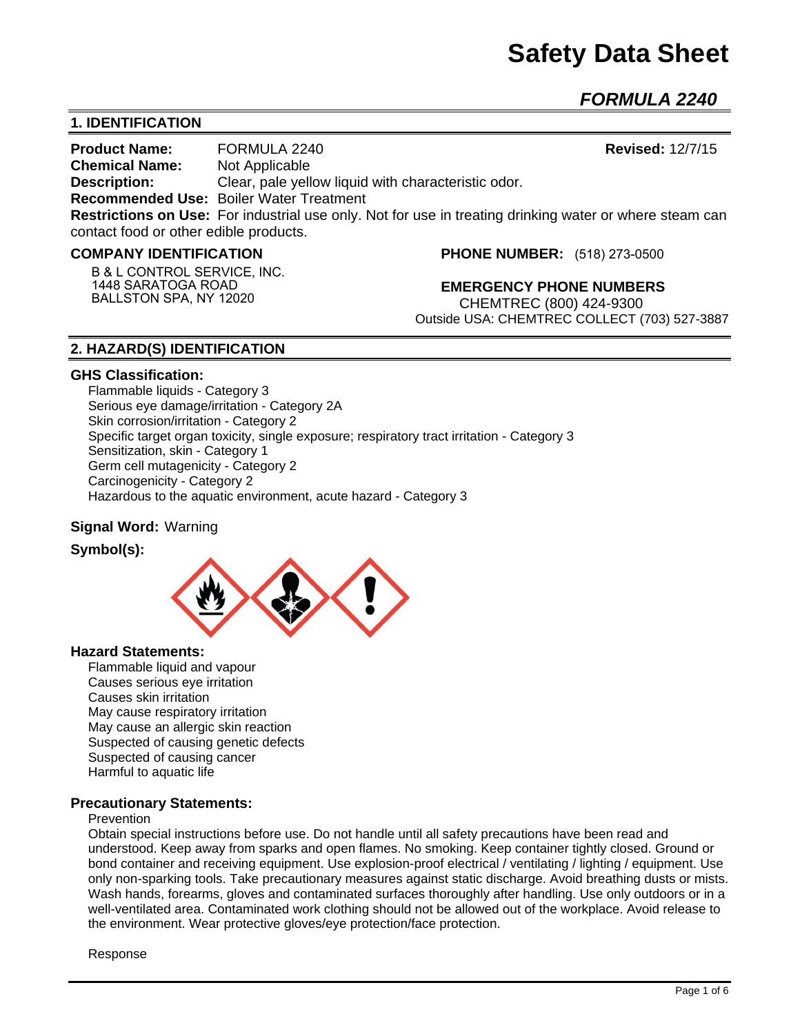# **Safety Data Sheet**

*FORMULA 2240* 

# **1. IDENTIFICATION**

**Product Name:** FORMULA 2240 **Revised:** 12/7/15 **Chemical Name:** Not Applicable **Description:** Clear, pale yellow liquid with characteristic odor. **Recommended Use:** Boiler Water Treatment **Restrictions on Use:** For industrial use only. Not for use in treating drinking water or where steam can contact food or other edible products.

#### **COMPANY IDENTIFICATION**

**B & L CONTROL SERVICE, INC. 1448 SARATOGA ROAD BALLSTON SPA, NY 12020**

**PHONE NUMBER:** (518) 273-0500

**EMERGENCY PHONE NUMBERS** CHEMTREC (800) 424-9300 Outside USA: CHEMTREC COLLECT (703) 527-3887

# **2. HAZARD(S) IDENTIFICATION**

#### **GHS Classification:**

Flammable liquids - Category 3 Serious eye damage/irritation - Category 2A Skin corrosion/irritation - Category 2 Specific target organ toxicity, single exposure; respiratory tract irritation - Category 3 Sensitization, skin - Category 1 Germ cell mutagenicity - Category 2 Carcinogenicity - Category 2 Hazardous to the aquatic environment, acute hazard - Category 3

# **Signal Word:** Warning

## **Symbol(s):**



#### **Hazard Statements:**

Flammable liquid and vapour Causes serious eye irritation Causes skin irritation May cause respiratory irritation May cause an allergic skin reaction Suspected of causing genetic defects Suspected of causing cancer Harmful to aquatic life

#### **Precautionary Statements:**

#### **Prevention**

Obtain special instructions before use. Do not handle until all safety precautions have been read and understood. Keep away from sparks and open flames. No smoking. Keep container tightly closed. Ground or bond container and receiving equipment. Use explosion-proof electrical / ventilating / lighting / equipment. Use only non-sparking tools. Take precautionary measures against static discharge. Avoid breathing dusts or mists. Wash hands, forearms, gloves and contaminated surfaces thoroughly after handling. Use only outdoors or in a well-ventilated area. Contaminated work clothing should not be allowed out of the workplace. Avoid release to the environment. Wear protective gloves/eye protection/face protection.

Response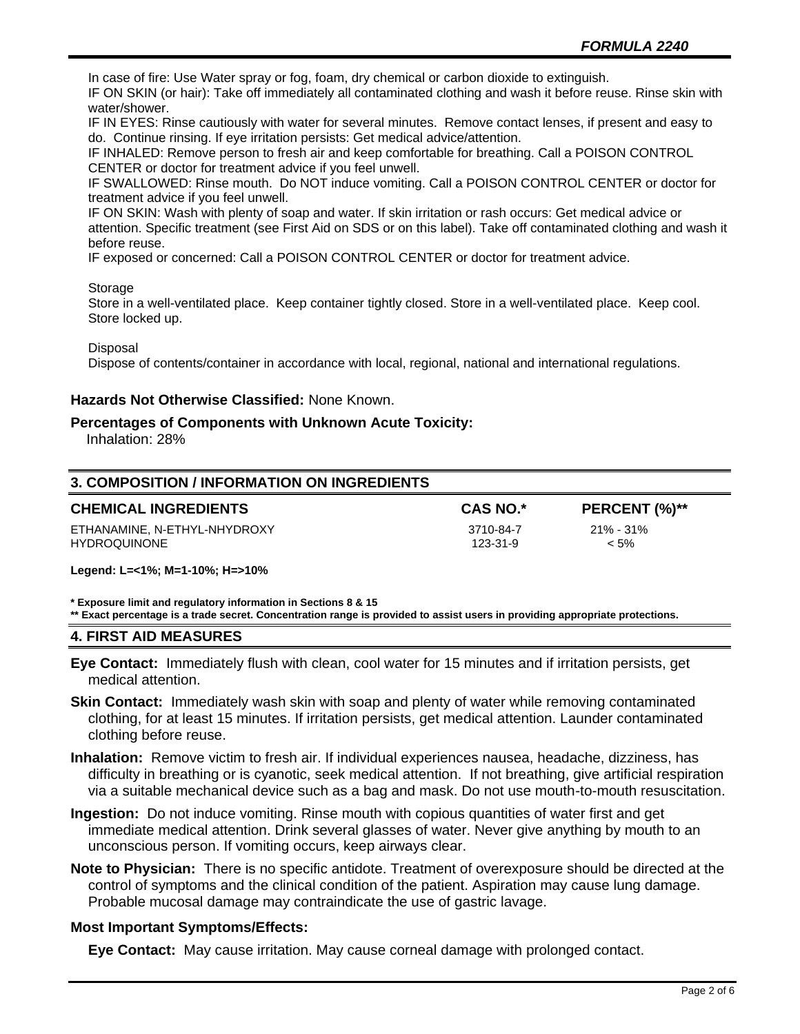In case of fire: Use Water spray or fog, foam, dry chemical or carbon dioxide to extinguish. IF ON SKIN (or hair): Take off immediately all contaminated clothing and wash it before reuse. Rinse skin with water/shower.

IF IN EYES: Rinse cautiously with water for several minutes. Remove contact lenses, if present and easy to do. Continue rinsing. If eye irritation persists: Get medical advice/attention.

IF INHALED: Remove person to fresh air and keep comfortable for breathing. Call a POISON CONTROL CENTER or doctor for treatment advice if you feel unwell.

IF SWALLOWED: Rinse mouth. Do NOT induce vomiting. Call a POISON CONTROL CENTER or doctor for treatment advice if you feel unwell.

IF ON SKIN: Wash with plenty of soap and water. If skin irritation or rash occurs: Get medical advice or attention. Specific treatment (see First Aid on SDS or on this label). Take off contaminated clothing and wash it before reuse.

IF exposed or concerned: Call a POISON CONTROL CENTER or doctor for treatment advice.

#### Storage

Store in a well-ventilated place. Keep container tightly closed. Store in a well-ventilated place. Keep cool. Store locked up.

**Disposal** 

Dispose of contents/container in accordance with local, regional, national and international regulations.

## **Hazards Not Otherwise Classified:** None Known.

#### **Percentages of Components with Unknown Acute Toxicity:**

Inhalation: 28%

## **3. COMPOSITION / INFORMATION ON INGREDIENTS**

## **CHEMICAL INGREDIENTS CAS NO.\* PERCENT (%)\*\***

ETHANAMINE, N-ETHYL-NHYDROXY 1980 1200 13710-84-7 21% - 31% HYDROQUINONE 123-31-9 < 5%

**Legend: L=<1%; M=1-10%; H=>10%**

**\* Exposure limit and regulatory information in Sections 8 & 15**

**\*\* Exact percentage is a trade secret. Concentration range is provided to assist users in providing appropriate protections.**

#### **4. FIRST AID MEASURES**

**Eye Contact:** Immediately flush with clean, cool water for 15 minutes and if irritation persists, get medical attention.

- **Skin Contact:** Immediately wash skin with soap and plenty of water while removing contaminated clothing, for at least 15 minutes. If irritation persists, get medical attention. Launder contaminated clothing before reuse.
- **Inhalation:** Remove victim to fresh air. If individual experiences nausea, headache, dizziness, has difficulty in breathing or is cyanotic, seek medical attention. If not breathing, give artificial respiration via a suitable mechanical device such as a bag and mask. Do not use mouth-to-mouth resuscitation.
- **Ingestion:** Do not induce vomiting. Rinse mouth with copious quantities of water first and get immediate medical attention. Drink several glasses of water. Never give anything by mouth to an unconscious person. If vomiting occurs, keep airways clear.
- **Note to Physician:** There is no specific antidote. Treatment of overexposure should be directed at the control of symptoms and the clinical condition of the patient. Aspiration may cause lung damage. Probable mucosal damage may contraindicate the use of gastric lavage.

## **Most Important Symptoms/Effects:**

**Eye Contact:** May cause irritation. May cause corneal damage with prolonged contact.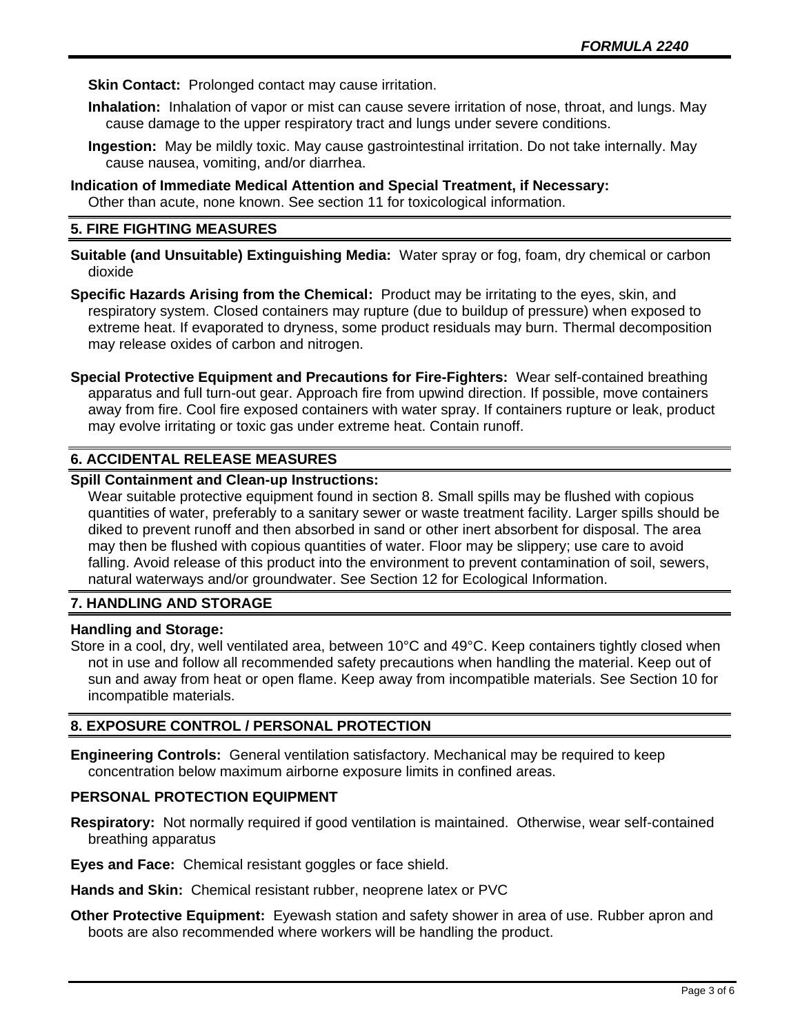**Skin Contact:** Prolonged contact may cause irritation.

- **Inhalation:** Inhalation of vapor or mist can cause severe irritation of nose, throat, and lungs. May cause damage to the upper respiratory tract and lungs under severe conditions.
- **Ingestion:** May be mildly toxic. May cause gastrointestinal irritation. Do not take internally. May cause nausea, vomiting, and/or diarrhea.

**Indication of Immediate Medical Attention and Special Treatment, if Necessary:** Other than acute, none known. See section 11 for toxicological information.

## **5. FIRE FIGHTING MEASURES**

- **Suitable (and Unsuitable) Extinguishing Media:** Water spray or fog, foam, dry chemical or carbon dioxide
- **Specific Hazards Arising from the Chemical:** Product may be irritating to the eyes, skin, and respiratory system. Closed containers may rupture (due to buildup of pressure) when exposed to extreme heat. If evaporated to dryness, some product residuals may burn. Thermal decomposition may release oxides of carbon and nitrogen.
- **Special Protective Equipment and Precautions for Fire-Fighters:** Wear self-contained breathing apparatus and full turn-out gear. Approach fire from upwind direction. If possible, move containers away from fire. Cool fire exposed containers with water spray. If containers rupture or leak, product may evolve irritating or toxic gas under extreme heat. Contain runoff.

# **6. ACCIDENTAL RELEASE MEASURES**

## **Spill Containment and Clean-up Instructions:**

Wear suitable protective equipment found in section 8. Small spills may be flushed with copious quantities of water, preferably to a sanitary sewer or waste treatment facility. Larger spills should be diked to prevent runoff and then absorbed in sand or other inert absorbent for disposal. The area may then be flushed with copious quantities of water. Floor may be slippery; use care to avoid falling. Avoid release of this product into the environment to prevent contamination of soil, sewers, natural waterways and/or groundwater. See Section 12 for Ecological Information.

# **7. HANDLING AND STORAGE**

#### **Handling and Storage:**

Store in a cool, dry, well ventilated area, between 10°C and 49°C. Keep containers tightly closed when not in use and follow all recommended safety precautions when handling the material. Keep out of sun and away from heat or open flame. Keep away from incompatible materials. See Section 10 for incompatible materials.

# **8. EXPOSURE CONTROL / PERSONAL PROTECTION**

**Engineering Controls:** General ventilation satisfactory. Mechanical may be required to keep concentration below maximum airborne exposure limits in confined areas.

## **PERSONAL PROTECTION EQUIPMENT**

- **Respiratory:** Not normally required if good ventilation is maintained. Otherwise, wear self-contained breathing apparatus
- **Eyes and Face:** Chemical resistant goggles or face shield.
- **Hands and Skin:** Chemical resistant rubber, neoprene latex or PVC
- **Other Protective Equipment:** Eyewash station and safety shower in area of use. Rubber apron and boots are also recommended where workers will be handling the product.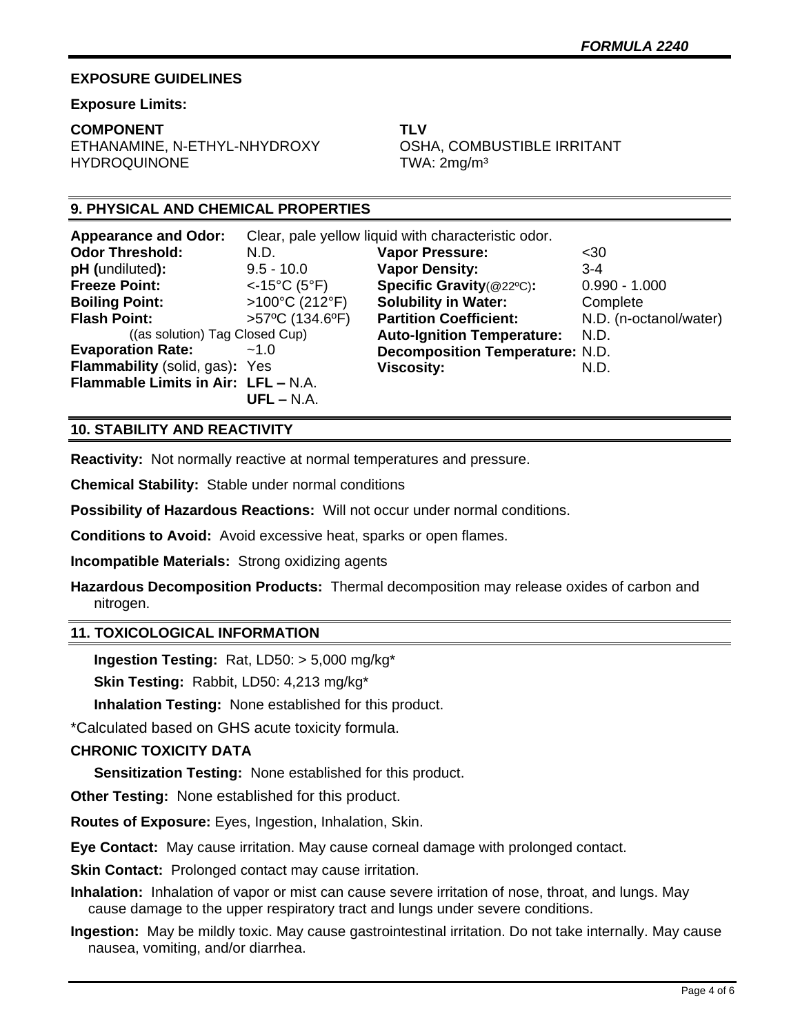# **EXPOSURE GUIDELINES**

**Exposure Limits:** 

#### **COMPONENT TLV**

ETHANAMINE, N-ETHYL-NHYDROXY OSHA, COMBUSTIBLE IRRITANT HYDROQUINONE TWA: 2mg/m<sup>3</sup>

# **9. PHYSICAL AND CHEMICAL PROPERTIES**

| <b>Appearance and Odor:</b>         | Clear, pale yellow liquid with characteristic odor. |                                        |                        |
|-------------------------------------|-----------------------------------------------------|----------------------------------------|------------------------|
| <b>Odor Threshold:</b>              | N.D.                                                | <b>Vapor Pressure:</b>                 | $30$                   |
| pH (undiluted):                     | $9.5 - 10.0$                                        | <b>Vapor Density:</b>                  | $3 - 4$                |
| <b>Freeze Point:</b>                | $<$ -15°C (5°F)                                     | Specific Gravity(@22°C):               | $0.990 - 1.000$        |
| <b>Boiling Point:</b>               | >100°C (212°F)                                      | <b>Solubility in Water:</b>            | Complete               |
| <b>Flash Point:</b>                 | $>57^{\circ}$ C (134.6°F)                           | <b>Partition Coefficient:</b>          | N.D. (n-octanol/water) |
| ((as solution) Tag Closed Cup)      |                                                     | <b>Auto-Ignition Temperature:</b>      | N.D.                   |
| <b>Evaporation Rate:</b>            | ~1.0                                                | <b>Decomposition Temperature: N.D.</b> |                        |
| Flammability (solid, gas): Yes      |                                                     | <b>Viscosity:</b>                      | N.D.                   |
| Flammable Limits in Air: LFL - N.A. |                                                     |                                        |                        |
|                                     | $UFL - N.A.$                                        |                                        |                        |

# **10. STABILITY AND REACTIVITY**

**Reactivity:** Not normally reactive at normal temperatures and pressure.

**Chemical Stability:** Stable under normal conditions

**Possibility of Hazardous Reactions:** Will not occur under normal conditions.

**Conditions to Avoid:** Avoid excessive heat, sparks or open flames.

**Incompatible Materials:** Strong oxidizing agents

**Hazardous Decomposition Products:** Thermal decomposition may release oxides of carbon and nitrogen.

# **11. TOXICOLOGICAL INFORMATION**

**Ingestion Testing:** Rat, LD50: > 5,000 mg/kg\*

**Skin Testing:** Rabbit, LD50: 4,213 mg/kg\*

**Inhalation Testing:** None established for this product.

\*Calculated based on GHS acute toxicity formula.

# **CHRONIC TOXICITY DATA**

**Sensitization Testing:** None established for this product.

**Other Testing:** None established for this product.

**Routes of Exposure:** Eyes, Ingestion, Inhalation, Skin.

**Eye Contact:** May cause irritation. May cause corneal damage with prolonged contact.

**Skin Contact: Prolonged contact may cause irritation.** 

**Inhalation:** Inhalation of vapor or mist can cause severe irritation of nose, throat, and lungs. May cause damage to the upper respiratory tract and lungs under severe conditions.

**Ingestion:** May be mildly toxic. May cause gastrointestinal irritation. Do not take internally. May cause nausea, vomiting, and/or diarrhea.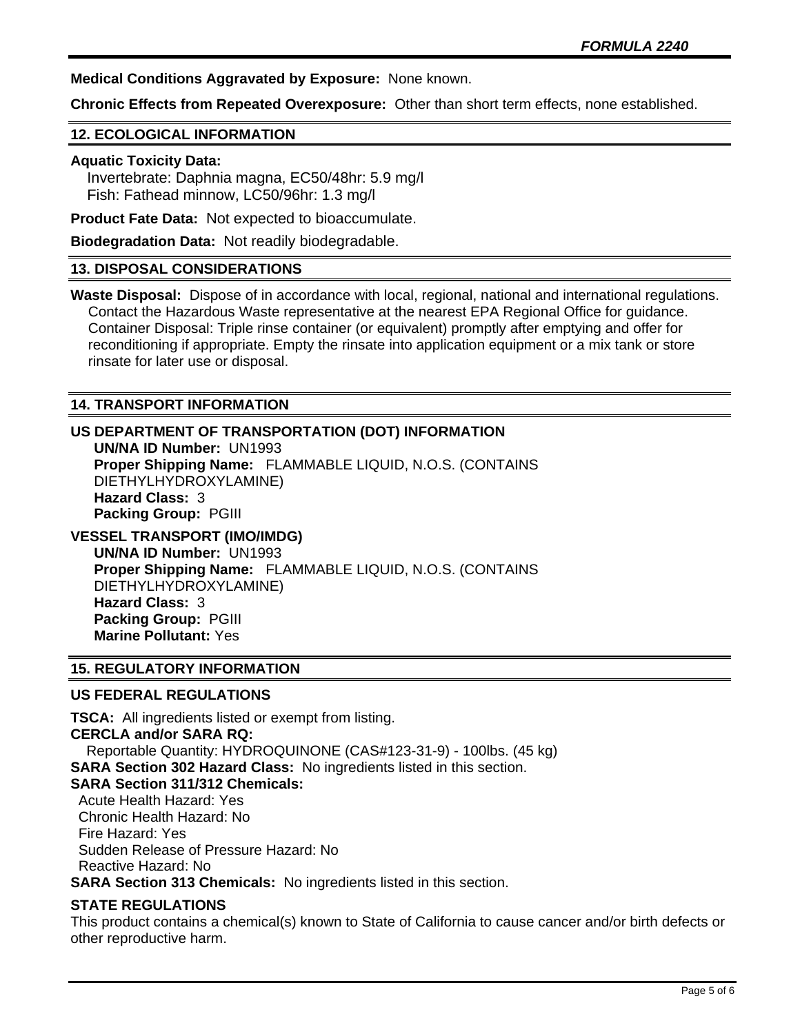**Medical Conditions Aggravated by Exposure:** None known.

**Chronic Effects from Repeated Overexposure:** Other than short term effects, none established.

# **12. ECOLOGICAL INFORMATION**

#### **Aquatic Toxicity Data:**

 Invertebrate: Daphnia magna, EC50/48hr: 5.9 mg/l Fish: Fathead minnow, LC50/96hr: 1.3 mg/l

**Product Fate Data:** Not expected to bioaccumulate.

**Biodegradation Data:** Not readily biodegradable.

#### **13. DISPOSAL CONSIDERATIONS**

**Waste Disposal:** Dispose of in accordance with local, regional, national and international regulations. Contact the Hazardous Waste representative at the nearest EPA Regional Office for guidance. Container Disposal: Triple rinse container (or equivalent) promptly after emptying and offer for reconditioning if appropriate. Empty the rinsate into application equipment or a mix tank or store rinsate for later use or disposal.

## **14. TRANSPORT INFORMATION**

# **US DEPARTMENT OF TRANSPORTATION (DOT) INFORMATION**

**UN/NA ID Number:** UN1993 **Proper Shipping Name:** FLAMMABLE LIQUID, N.O.S. (CONTAINS DIETHYLHYDROXYLAMINE) **Hazard Class:** 3 **Packing Group:** PGIII

# **VESSEL TRANSPORT (IMO/IMDG)**

**UN/NA ID Number:** UN1993 **Proper Shipping Name:** FLAMMABLE LIQUID, N.O.S. (CONTAINS DIETHYLHYDROXYLAMINE) **Hazard Class:** 3 **Packing Group:** PGIII **Marine Pollutant:** Yes

## **15. REGULATORY INFORMATION**

## **US FEDERAL REGULATIONS**

**TSCA:** All ingredients listed or exempt from listing. **CERCLA and/or SARA RQ:**  Reportable Quantity: HYDROQUINONE (CAS#123-31-9) - 100lbs. (45 kg) **SARA Section 302 Hazard Class:** No ingredients listed in this section.

# **SARA Section 311/312 Chemicals:**

 Acute Health Hazard: Yes Chronic Health Hazard: No Fire Hazard: Yes Sudden Release of Pressure Hazard: No Reactive Hazard: No

**SARA Section 313 Chemicals:** No ingredients listed in this section.

## **STATE REGULATIONS**

This product contains a chemical(s) known to State of California to cause cancer and/or birth defects or other reproductive harm.